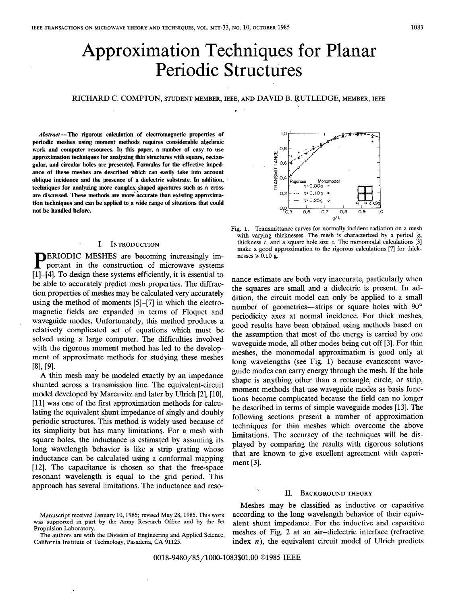## Approximation Techniques for Planar Periodic Structures

# **RICHARD C. COMPTON, STUDENT MEMBER, IEEE, AND DAVID** B. RUTLEDGE, **MEMBER, IEEE**  . .

*Abstract* **-The rigorous calculation of electromagnetic properties of periodic meshes using moment methods requires considerable algebraic work and computer resources. In this paper, a number of easy to use approximation techniques for analyzing thin structures with square, rectangular, and circular holes are presented. Formulas for the effective impedance of these meshes are described which can easily take into account oblique incidence and the presence of a dielectric substrate. In addition,** . techniques for analyzing more complex-shaped apertures such as a cross are discussed. These methods are more accurate than existing approxima**tion techniques and can be applied to a wide range of situations that could not be handled before.** 

### - **I. INTRODUCTION**

**PERIODIC MESHES are becoming increasingly important in the construction of microwave systems** [I]-[4]. To design these systems efficiently, it is essential to be able to accurately predict mesh properties. The diffraction properties of meshes may be calculated very accurately using the method of moments [5]-[7] in which the electromagnetic fields are expanded in terms of Floquet and waveguide modes. Unfortunately, this method produces a relatively complicated set of equations which must be solved using a large computer. The difficulties involved with the rigorous moment method has led to the development of approximate methods for studying these meshes  $[8]$ ,  $[9]$ .

**A** thin mesh may be modeled exactly by an impedance shunted across a transmission line. The equivalent-circuit model developed by Marcuvitz and later by Ulrich [2], [10], [11] was one of the first approximation methods for calculating the equivalent shunt impedance of singly and doubly periodic structures. This method is widely used because of its simplicity but has many limitations. For a mesh with square holes, the inductance is estimated by assuming its long wavelength behavior is like a strip grating whose inductance can be calculated using a conformal mapping [12]. The capacitance is chosen so that the free-space resonant wavelength is equal to the grid period. This approach has several limitations. The inductance and reso-

 $0.8$ **RANSMITTANCE**  $0.6$  $0.4$ Monomodal  $\tilde{t} = 0.009$  $t = 0.10a$   $\bullet$ o 2  $t = 0.25a$  $0.06$  $0.6$  $0.7$  $O, B$  $q/\lambda$ 

LC

Fig. 1. Transmittance curves for normally incident radiation on a mesh with varying thicknesses. The mesh is characterized by a period  $g$ , thickness  $t$ , and a square hole size  $c$ . The monomodal calculations [3] make a good approximation to the rigorous calculations **[7]** for thicknesses  $\geqslant 0.10$  g.

nance estimate are both very inaccurate, particularly when the squares are small and a dielectric is present. In addition, the circuit model can only be applied to a small number of geometries—strips or square holes with 90° periodicity axes at normal incidence. For thick meshes, good results have been obtained using methods based on the assumption that most of the energy is carried by one waveguide mode, all other modes being cut off [3]. For thin meshes, the monomodal approximation is good only at long wavelengths (see Fig. 1) because evanescent waveguide modes can carry energy through the mesh. If the hole shape is anything other than a rectangle, circle, or strip, moment methods that use waveguide modes as basis functions become complicated because the field can no longer be described in terms of simple waveguide modes [13]. The following sections present a number of approximation techniques for thin meshes which overcome the above limitations. The accuracy of the techniques will be displayed by comparing the results with rigorous solutions that are known to give excellent agreement with experiment [3].

#### **II. BACKGROUND THEORY**

Meshes may be classified as inductive or capacitive Manuscript received January 10, 1985; revised May 28, 1985. This work according to the long wavelength behavior of their equiv-<br>was supported in part by the Army Research Office and by the Jet alent shunt impedance. For th The authors are with the Division of Engineering and Applied Science, meshes of Fig. 2 at an air-dielectric interface (refractive California Institute of Technology, Pasadena, CA 91125. index  $n$ ), the equivalent circuit model of Ulrich predicts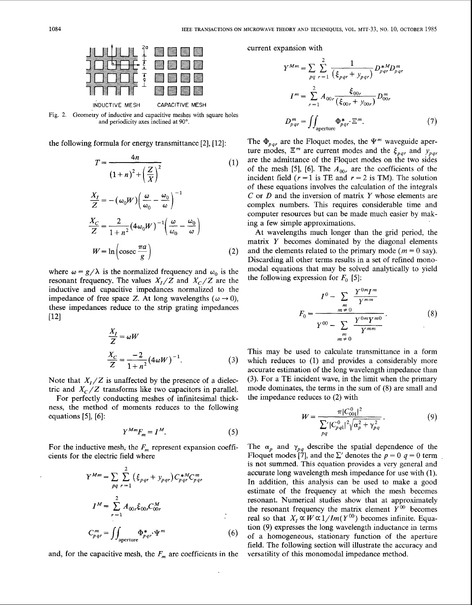

Fig. 2. Geometry of inductive and capacitive meshes with square holes and periodicity axes inclined at 90°.

the following formula for energy transmittance [2], [12]:

$$
T = \frac{4n}{(1+n)^2 + \left(\frac{Z}{X}\right)^2}
$$
(1)  

$$
\frac{X_I}{Z} = -(\omega_0 W) \left(\frac{\omega}{\omega_0} - \frac{\omega_0}{\omega}\right)^{-1}
$$
  

$$
\frac{X_C}{Z} = \frac{2}{1+n^2} (4\omega_0 W)^{-1} \left(\frac{\omega}{\omega_0} - \frac{\omega_0}{\omega}\right)
$$
  

$$
W = \ln\left(\csc\frac{\pi a}{g}\right)
$$
(2)

where  $\omega = g/\lambda$  is the normalized frequency and  $\omega_0$  is the resonant frequency. The values  $X_I/Z$  and  $X_C/Z$  are the inductive and capacitive impedances normalized to the impedance of free space Z. At long wavelengths ( $\omega \rightarrow 0$ ), these impedances reduce to the strip grating impedances [I21

$$
\frac{X_I}{Z} = \omega W
$$
  

$$
\frac{X_C}{Z} = \frac{-2}{1 + n^2} (4\omega W)^{-1}.
$$
 (3)

For perfectly conducting meshes of infinitesimal thickness, the method of moments reduces to the following equations [5], [6]:

$$
Y^{Mm}F_m = I^M. \tag{5}
$$

$$
Y^{Mm} = \sum_{pq} \sum_{r=1}^{2} (\xi_{pqr} + y_{pqr}) C_{pqr}^{*M} C_{pqr}^{m}
$$
  

$$
I^{M} = \sum_{r=1}^{2} A_{00r} \xi_{00r} C_{00r}^{M}
$$
  

$$
C_{pqr}^{m} = \iint_{aperture} \Phi_{pqr}^{*} \Psi^{m}
$$
 (6)

and, for the capacitive mesh, the  $F_m$  are coefficients in the versatility of this monomodal impedance method.

current expansion with

$$
Y^{Mm} = \sum_{pq} \sum_{r=1}^{2} \frac{1}{(\xi_{pqr} + y_{pqr})} D_{pqr}^{*M} D_{pqr}^{m}
$$

$$
I^{m} = \sum_{r=1}^{2} A_{00r} \frac{\xi_{00r}}{(\xi_{00r} + y_{00r})} D_{00r}^{m}
$$

$$
D_{pqr}^{m} = \iint_{\text{aperture}} \Phi_{pqr}^{*} \Xi^{m}.
$$
 (7)

The  $\Phi_{\text{par}}$  are the Floquet modes, the  $\Psi^m$  waveguide aperture modes,  $\Xi^m$  are current modes and the  $\xi_{pqr}$  and  $y_{pqr}$ are the admittance of the Floquet modes on the two sides of the mesh [5], [6]. The  $A_{00r}$  are the coefficients of the incident field ( $r = 1$  is TE and  $r = 2$  is TM). The solution of these equations involves the calculation of the integrals *C* or D and the inversion of matrix **Y** whose elements are complex numbers. This requires considerable time and computer resources but can be made much easier by making a few simple approximations.

At wavelengths much longer than the grid period, the matrix **Y** becomes dominated by the diagonal elements and the elements related to the primary mode ( $m = 0$  say). Discarding all other terms results in a set of refined monomodal equations that may be solved analytically to yield the following expression for  $F_0$  [5]:

$$
F_0 = \frac{I^0 - \sum_{\substack{m \\ m \neq 0}} \frac{Y^{0m} I^m}{Y^{mm}}}{Y^{00} - \sum_{\substack{m \\ m \neq 0}} \frac{Y^{0m} Y^{m0}}{Y^{mm}}}. \tag{8}
$$

This may be used to calculate transmittance in a form which reduces to (1) and provides a considerably more accurate estimation of the long wavelength impedance than Note that  $X_I/Z$  is unaffected by the presence of a dielec- (3). For a TE incident wave, in the limit when the primary tric and  $X_C/Z$  transforms like two capacitors in parallel mode dominates, the terms in the sum of (8) a tric and  $X_c/Z$  transforms like two capacitors in parallel. mode dominates, the terms in the sum of  $X_c/Z$  transforms like two capacitors in parallel. The impedance reduces to (2) with

$$
W = \frac{\pi |C_{001}^{0}|^2}{\sum_{pq}^{\prime} |C_{pq1}^{0}|^2 \sqrt{\alpha_p^2 + \gamma_{pq}^2}}.
$$
 (9)

For the inductive mesh, the  $F_m$  represent expansion coeffi- The  $\alpha_p$  and  $\gamma_{pq}$  describe the spatial dependence of the cients for the electric field where Floquet modes  $\begin{bmatrix} 7 \end{bmatrix}$ , and the  $\sum'$  denotes the  $p = 0$   $q = 0$  term is not summed. This equation provides a very general and *accurate long wavelength mesh impedance for use with (1).* In addition, this analysis can be used to make a good estimate of the frequency at which the mesh becomes **<sup>2</sup>**resonant. Numerical studies show that at approximately  $I^M = \sum_{pq} \sum_{r=1}^{2} ( \xi_{pqr} + y_{pqr} ) C_{pqr}^{*M} C_{pqr}^{m}$  accurate long wavelength mesh impedance for use with (1).<br>
In addition, this analysis can be used to make a good<br>
estimate of the frequency at which the mesh becomes<br>
r the resonant frequency the matrix element  $Y^{00}$  becomes real so that  $X_I \propto W \propto 1 / Im(Y^{00})$  becomes infinite. Equation (9) expresses the long wavelength inductance in terms of a homogeneous, stationary function of the aperture field. The following section will illustrate the accuracy and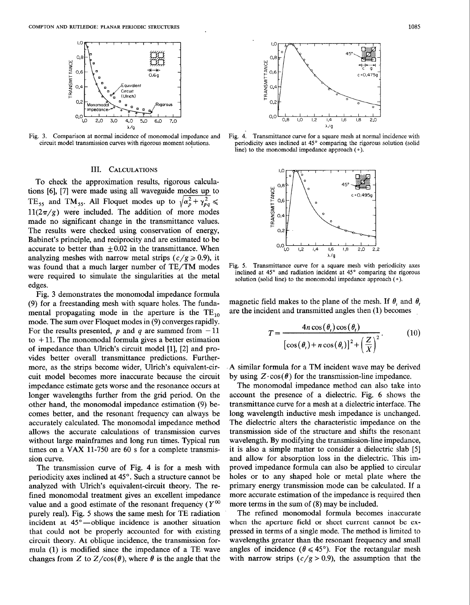

#### III. CALCULATIONS

To check the approximation results, rigorous calculations [6], [7] were made using all waveguide modes up to TE<sub>55</sub> and TM<sub>55</sub>. All Floquet modes up to  $\sqrt{\alpha_p^2 + \gamma_{p,q}^2}$  $11(2\pi/g)$  were included. The addition of more modes made no significant change in the transmittance values. The results were checked using conservation of energy, Babinet's principle, and reciprocity and are estimated to be accurate to better than  $\pm 0.02$  in the transmittance. When analyzing meshes with narrow metal strips  $(c/g \ge 0.9)$ , it was found that a much larger number of TE/TM modes were required to simulate the singularities at the metal edges.

Fig. **3** demonstrates the monomodal impedance formula (9) for a freestanding mesh with square holes. The fundamental propagating mode in the aperture is the  $TE_{10}$ mode. The sum over Floquet modes in (9) converges rapidly. For the results presented, p and q are summed from  $-11$ to  $+11$ . The monomodal formula gives a better estimation of impedance than Ulrich's circuit model [I], [2] and provides better overall transmittance predictions. Furthermore, as the strips become wider, Ulrich's equivalent-circuit model becomes more inaccurate because the circuit impedance estimate gets worse and the resonance occurs at longer wavelengths further from the grid period. On the other hand, the monomodal impedance estimation (9) becomes better, and the resonant frequency can always be accurately calculated. The monomodal impedance method allows the accurate calculations of transmission curves without large mainframes and long run times. Typical run times on a VAX 11-750 are 60 s for a complete transmission curve.

The transmission curve of Fig. 4 is for a mesh with periodicity axes inclined at 45°. Such a structure cannot be analyzed with Ulrich's equivalent-circuit theory. The refined monomodal treatment gives an excellent impedance value and a good estimate of the resonant frequency  $(Y^{00}$ purely real). Fig. 5 shows' the same mesh for TE radiation incident at 45<sup>°</sup>—oblique incidence is another situation that could not be properly accounted for with existing circuit theory. At oblique incidence, the transmission formula (1) is modified since the impedance of a TE wave changes from Z to  $Z/\cos(\theta)$ , where  $\theta$  is the angle that the



Fig. 3. Comparison at normal incidence of monomodal impedance and Fig. 4. Transmittance curve for a square mesh at normal incidence with circuit model transmission curves with rigorous moment solutions. periodicity axes in periodicity axes inclined at 45° comparing the rigorous solution (solid line) to the monomodal impedance approach  $(0)$ .



Fig. 5. Transmittance curve for a square mesh with periodicity axes inclined at 45° and radiation incident at 45° comparing the rigorous solution (solid line) to the monomodal impedance approach  $(0)$ .

magnetic field makes to the plane of the mesh. If  $\theta$ , and  $\theta$ , are the incident and transmitted angles then (1) becomes .

$$
T = \frac{4n\cos(\theta_t)\cos(\theta_t)}{\left[\cos(\theta_t) + n\cos(\theta_t)\right]^2 + \left(\frac{Z}{X}\right)^2}.
$$
 (10)

**A** similar formula for a TM incident wave may be derived by using  $Z \cdot \cos(\theta)$  for the transmission-line impedance.

The monomodal impedance method can also take into account the presence of a dielectric. Fig. 6 shows the transmittance curve for a mesh at a dielectric interface. The long wavelength inductive mesh impedance is unchanged. The dielectric alters the characteristic impedance on the transmission side of the structure and shifts the resonant wavelength. By modifying the transmission-line impedance, it is also a simple matter to consider a dielectric slab [5] and allow for absorption loss in the dielectric. This improved impedance formula can also be applied to circular holes or to any shaped hole or metal plate where the primary energy transmission mode can be calculated. If a more accurate estimation of the impedance is required then more terms in the sum of (8) may be included.

The refined monomodal formula becomes inaccurate when the aperture field or sheet current cannot be expressed in terms of a single mode. The method is limited to wavelengths greater than the resonant frequency and small angles of incidence ( $\theta \le 45^{\circ}$ ). For the rectangular mesh with narrow strips  $(c/g > 0.9)$ , the assumption that the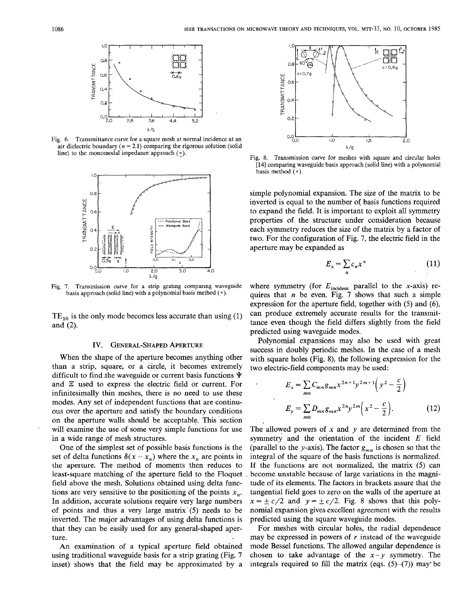

Fig. 6. Transmittance curve for a square mesh at normal incidence at an air dielectric boundary ( $n = 2.1$ ) comparing the rigorous solution (solid line) to the monomodal impedance approach  $( \circ )$ 



Fig. 7. Transmission curve for a strip grating comparing waveguide basis approach (solid line) with a polynomial basis method ( **o).** 

 $TE_{10}$  is the only mode becomes less accurate than using (1) and (2).

#### IV. GENERAL-SHAPED APERTURE

When the shape of the aperture becomes anything other than a strip, square, or a circle, it becomes extremely difficult to find the waveguide or current basis functions  $\Psi$ and  $\Sigma$  used to express the electric field or current. For infinitesimally thin meshes, there is no need to use these modes. Any set of independent functions that are continuous over the aperture and satisfy the boundary conditions on the aperture walls should be acceptable. This section will examine the use of some very simple functions for use in a wide range of mesh structures.

One of the simplest set of possible basis functions is the set of delta functions  $\delta(x - x_n)$  where the  $x_n$  are points in the aperture. The method of moments then reduces to least-square matching of the aperture field to the Floquet field above the mesh. Solutions obtained using delta functions are very sensitive to the positioning of the points  $x_n$ . In addition, accurate solutions require very large numbers of points and thus a very large matrix'(5) needs to be inverted. The major advantages of using delta-functions is that they can be easily used for any general-shaped aperture.

An examination of a typical aperture field obtained using traditional waveguide basis for a strip grating (Fig. 7 inset) shows that the field may be approximated by a



Fig. 8. Transmission curve for meshes with square and circular holes **[14]** comparing waveguide basis approach (solid line) with a polynomial basis method  $(°)$ .

simple polynomial expansion. The size of the matrix to be inverted is equal to the number of basis functions required to expand the field. It is important to exploit all symmetry properties of the structure under consideration because each symmetry reduces the size of the matrix by a factor of two. For the configuration of Fig. 7, the electric field in the aperture may be expanded as

$$
E_x = \sum_n c_n x^n \tag{11}
$$

where symmetry (for  $E_{\text{incident}}$  parallel to the x-axis) requires that  $n$  be even. Fig. 7 shows that such a simple expression for the aperture field, together with (5) and *(6),*  can produce extremely accurate results for the transrnittance even though the field differs slightly from the field predicted using waveguide modes.

Polynomial expansions may also be used with great success in doubly periodic meshes. In the case of a mesh with square holes (Fig. 8), the following expression for the two electric-field components may be used:

$$
E_x = \sum_{mn} C_{mn} g_{mn} x^{2n+1} y^{2m+1} \left( y^2 - \frac{c}{2} \right)
$$
  

$$
E_y = \sum_{mn} D_{mn} g_{mn} x^{2n} y^{2m} \left( x^2 - \frac{c}{2} \right).
$$
 (12)

The allowed powers of  $x$  and  $y$  are determined from the symmetry and the orientation of the incident  $E$  field (parallel to the y-axis). The factor  $g_{mn}$  is chosen so that the integral of the square of the basis functions is normalized. If the functions are not normalized, the matrix (5) can become unstable because of large variations in the magnitude of its elements. The factors in brackets assure that the tangential field goes to zero on the walls of the aperture at  $x = \pm c/2$  and  $y = \pm c/2$ . Fig. 8 shows that this polynomial expansion gives excellent agreement with the results predicted using the square waveguide modes.

For meshes with circular holes, the radial dependence may be expressed in powers of  $r$  instead of the waveguide mode Bessel functions. The allowed angular dependence is chosen to take advantage of the  $x - y$  symmetry. The integrals required to fill the matrix (eqs.  $(5)-(7)$ ) may be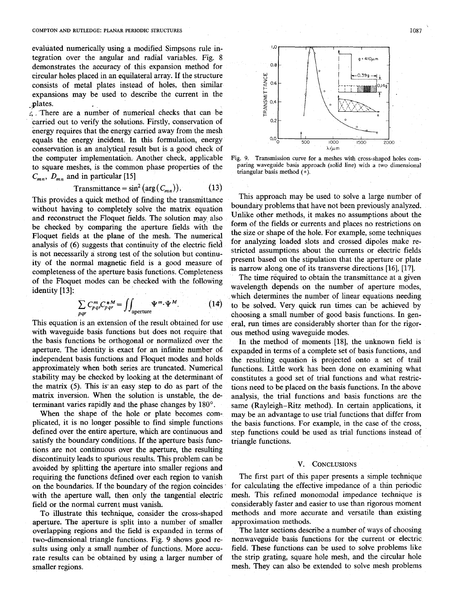evaluated numerically using a modified Simpsons rule integration over the angular and radial variables. Fig. 8 demonstrates the accuracy of this expansion method for circular holes placed in an equilateral array. If the structure consists of metal plates instead of holes, then similar expansions may be used to describe the current in the plates.

5 There are a number of numerical checks that can be carried out to verify the solutions. Firstly, conservation of energy requires that the energy carried away from the mesh equals the energy incident. In this formulation, energy conservation is an analytical result but is a good check of the computer implementation. Another check, applicable to square meshes, is the common phase properties of the  $C_{mn}$ ,  $D_{mn}$  and in particular [15]

$$
Transmittance = \sin^2(\arg(C_{mn})). \tag{13}
$$

This provides a quick method of finding the transmittance without having to completely solve the matrix equation and reconstruct the Floquet fields. The solution may also be checked by comparing the aperture fields with the Floquet fields at the plane of the mesh. The numerical analysis of *(6)* suggests that continuity of the electric field is not necessarily a strong test of the solution but continuity of the normal magnetic field is a good measure of completeness of the aperture basis functions. Completeness of the Floquet modes can be checked with the following identity [13]:

$$
\sum_{pqr} C_{pqr}^m C_{pqr}^{*M} = \iint_{\text{aperture}} \Psi^m \cdot \Psi^M. \tag{14}
$$

This equation is an extension of the result obtained for use with waveguide basis functions but does not require that the basis functions be orthogonal or normalized over the aperture. The identity is exact for an infinite number of. independent basis functions and Floquet modes and holds approximately when both series are truncated. Numerical stability may be checked by looking at the determinant of the matrix  $(5)$ . This is an easy step to do as part of the matrix inversion. When the solution is unstable, the determinant varies rapidly and the phase changes by **180".** 

When the shape of the hole or plate becomes complicated, it is no longer possible to find simple functions defined over the entire aperture, which are continuous and satisfy the boundary conditions. If the aperture basis functions are not continuous over the aperture, the resulting discontinuity leads to spurious results. This problem can be avoided by splitting the aperture into smaller regions and requiring the functions defined over each region to vanish on the boundaries. If the boundary of the region coincides with the aperture wall, then only the tangential electric field or the normal current must vanish.

To illustrate this technique, consider the cross-shaped aperture. The aperture is split into a number of smaller overlapping regions and the field is expanded in terms of two-dimensional triangle functions. Fig. 9 shows good results using only a small number of functions. More accurate results can be obtained by using a larger number of smaller regions.



Fig. 9. Transmission curve for a meshes with cross-shaped holes comparing waveguide basis approach (solid line) with a two dimensional triangular basis method **(0).** 

This approach may be used to solve a large number of boundary problems that have not been previously analyzed. Unlike other methods, it makes no assumptions about the form of the fields or currents and places no restrictions on the size or shape of the hole. For example, some techniques for analyzing loaded slots and crossed dipoles make restricted assumptions about the currents or electric fields present based on the stipulation that the aperture or plate is narrow along one of its transverse directions [16], [17].

The time required to obtain the transmittance at a given wavelength depends on the number of aperture modes, which determines the number of linear equations needing to be solved. Very quick run times can be achieved by choosing a small number of good basis functions. In general, run times are considerably shorter than for the rigorous method using waveguide modes.

In the method of moments [18], the unknown field is expanded in terms of a complete set of basis functions, and the resulting equation is projected onto a set of trail functions. Little work has been done on examining what constitutes a good set of trial functions and what restrictions need to be placed on the basis functions. In the above analysis, the trial functions and basis functions are the same (Rayleigh-Ritz method). In certain applications, it may be an advantage to use trial functions that differ from the basis functions. For example, in the case of the cross, step functions could be used as trial functions instead of triangle functions.

#### V. CONCLUSIONS

The first part of this paper presents a simple technique for calculating the effective impedance of a thin periodic mesh. This refined monomodal impedance technique is considerably faster and easier to use than rigorous moment methods and more accurate and versatile than existing approximation methods.

The later sections describe a number of ways of choosing nonwaveguide basis functions for the current or electric field. These functions can be used to solve problems like the strip grating, square hole mesh, and the circular hole mesh. They can also be extended to solve mesh problems